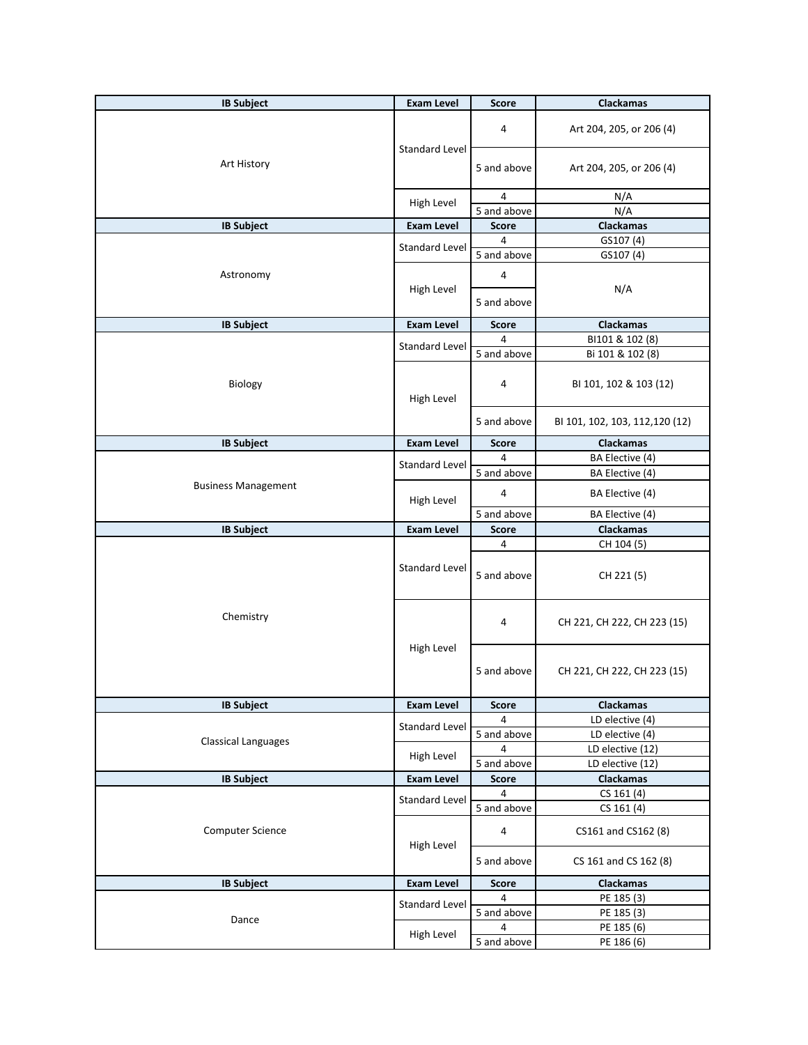| <b>IB Subject</b>          | <b>Exam Level</b>     | <b>Score</b>             | Clackamas                         |
|----------------------------|-----------------------|--------------------------|-----------------------------------|
|                            | <b>Standard Level</b> | 4                        | Art 204, 205, or 206 (4)          |
| Art History                |                       | 5 and above              | Art 204, 205, or 206 (4)          |
|                            |                       | 4                        | N/A                               |
|                            | High Level            | $\overline{5}$ and above | N/A                               |
| <b>IB Subject</b>          | <b>Exam Level</b>     | <b>Score</b>             | Clackamas                         |
|                            | <b>Standard Level</b> | 4                        | GS107 (4)                         |
|                            |                       | 5 and above              | GS107 (4)                         |
| Astronomy                  | High Level            | 4<br>5 and above         | N/A                               |
|                            |                       |                          |                                   |
| <b>IB Subject</b>          | <b>Exam Level</b>     | <b>Score</b>             | Clackamas                         |
|                            | <b>Standard Level</b> | 4                        | BI101 & 102 (8)                   |
|                            |                       | 5 and above              | Bi 101 & 102 (8)                  |
| Biology                    | High Level            | 4                        | BI 101, 102 & 103 (12)            |
|                            |                       | 5 and above              | BI 101, 102, 103, 112, 120 (12)   |
| <b>IB Subject</b>          | <b>Exam Level</b>     | <b>Score</b>             | Clackamas                         |
|                            | <b>Standard Level</b> | 4                        | BA Elective (4)                   |
|                            |                       | 5 and above              | BA Elective (4)                   |
| <b>Business Management</b> | High Level            | 4                        | BA Elective (4)                   |
|                            |                       | 5 and above              | BA Elective (4)                   |
|                            |                       |                          |                                   |
| <b>IB Subject</b>          | <b>Exam Level</b>     | Score                    | Clackamas                         |
|                            | <b>Standard Level</b> | 4<br>5 and above         | CH 104 (5)<br>CH 221 (5)          |
| Chemistry                  |                       | 4                        | CH 221, CH 222, CH 223 (15)       |
|                            | High Level            | 5 and above              | CH 221, CH 222, CH 223 (15)       |
| <b>IB Subject</b>          | <b>Exam Level</b>     | <b>Score</b>             | <b>Clackamas</b>                  |
|                            | <b>Standard Level</b> | 4                        | LD elective (4)                   |
| <b>Classical Languages</b> |                       | 5 and above              | LD elective (4)                   |
|                            | High Level            | 4                        | LD elective (12)                  |
|                            |                       | 5 and above              | LD elective (12)                  |
| <b>IB Subject</b>          | <b>Exam Level</b>     | <b>Score</b>             | Clackamas                         |
|                            | <b>Standard Level</b> | 4                        | CS 161 (4)                        |
| Computer Science           |                       | 5 and above<br>4         | CS 161 (4)<br>CS161 and CS162 (8) |
|                            | High Level            | 5 and above              | CS 161 and CS 162 (8)             |
| <b>IB Subject</b>          | <b>Exam Level</b>     | <b>Score</b>             | Clackamas                         |
|                            |                       | 4                        | PE 185 (3)                        |
|                            | <b>Standard Level</b> | 5 and above              | PE 185 (3)                        |
| Dance                      | High Level            | 4<br>5 and above         | PE 185 (6)                        |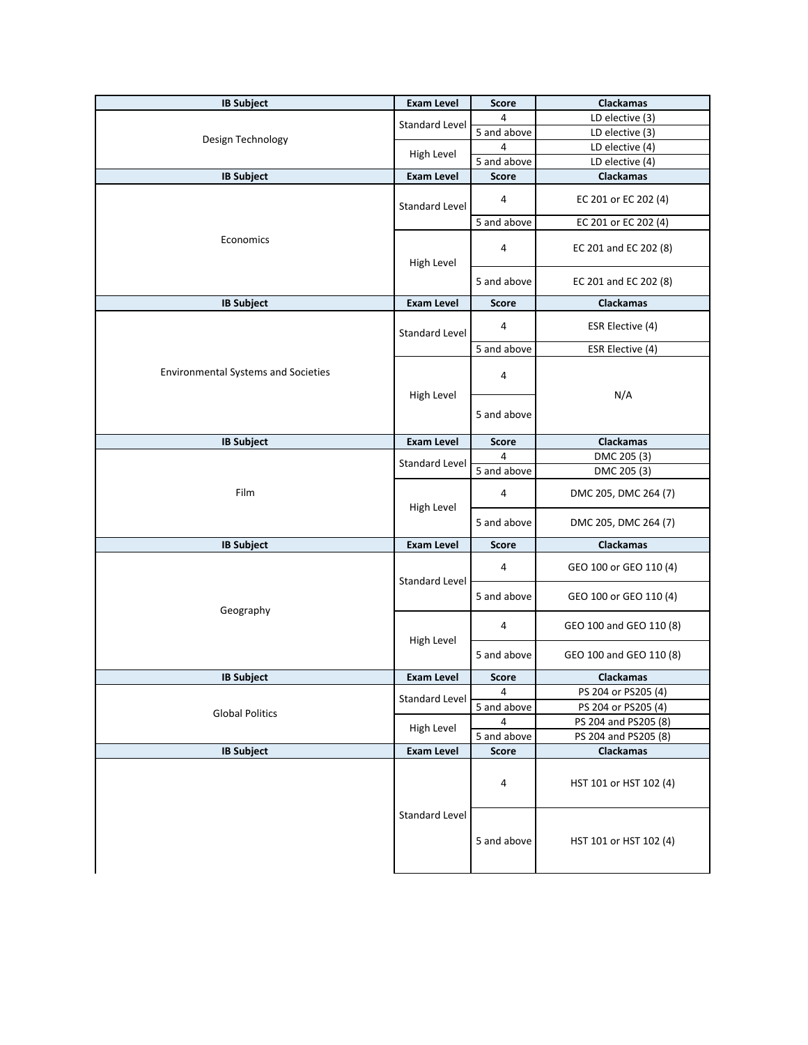| <b>IB Subject</b>                          | <b>Exam Level</b>     | <b>Score</b> | Clackamas               |
|--------------------------------------------|-----------------------|--------------|-------------------------|
|                                            | Standard Level        | 4            | LD elective (3)         |
|                                            |                       | 5 and above  | LD elective (3)         |
| Design Technology                          |                       | 4            | LD elective (4)         |
|                                            | High Level            | 5 and above  | LD elective (4)         |
| <b>IB Subject</b>                          | <b>Exam Level</b>     | <b>Score</b> | Clackamas               |
|                                            | <b>Standard Level</b> | 4            | EC 201 or EC 202 (4)    |
|                                            |                       | 5 and above  | EC 201 or EC 202 (4)    |
| Economics                                  | High Level            | 4            | EC 201 and EC 202 (8)   |
|                                            |                       | 5 and above  | EC 201 and EC 202 (8)   |
| <b>IB Subject</b>                          | <b>Exam Level</b>     | <b>Score</b> | <b>Clackamas</b>        |
|                                            | <b>Standard Level</b> | 4            | ESR Elective (4)        |
|                                            |                       | 5 and above  | ESR Elective (4)        |
| <b>Environmental Systems and Societies</b> |                       | 4            |                         |
|                                            | High Level            |              | N/A                     |
|                                            |                       | 5 and above  |                         |
| <b>IB Subject</b>                          | <b>Exam Level</b>     | <b>Score</b> | Clackamas               |
|                                            | <b>Standard Level</b> | 4            | DMC 205 (3)             |
|                                            |                       | 5 and above  | DMC 205 (3)             |
| Film                                       | High Level            | 4            | DMC 205, DMC 264 (7)    |
|                                            |                       | 5 and above  | DMC 205, DMC 264 (7)    |
| <b>IB Subject</b>                          | <b>Exam Level</b>     | <b>Score</b> | <b>Clackamas</b>        |
|                                            | Standard Level        | 4            | GEO 100 or GEO 110 (4)  |
| Geography                                  |                       | 5 and above  | GEO 100 or GEO 110 (4)  |
|                                            | High Level            | 4            | GEO 100 and GEO 110 (8) |
|                                            |                       | 5 and above  | GEO 100 and GEO 110 (8) |
| <b>IB Subject</b>                          | <b>Exam Level</b>     | <b>Score</b> | <b>Clackamas</b>        |
|                                            | <b>Standard Level</b> | 4            | PS 204 or PS205 (4)     |
| <b>Global Politics</b>                     |                       | 5 and above  | PS 204 or PS205 (4)     |
|                                            | High Level            | 4            | PS 204 and PS205 (8)    |
|                                            |                       | 5 and above  | PS 204 and PS205 (8)    |
| <b>IB Subject</b>                          | <b>Exam Level</b>     | <b>Score</b> | Clackamas               |
|                                            |                       | 4            | HST 101 or HST 102 (4)  |
|                                            | <b>Standard Level</b> | 5 and above  | HST 101 or HST 102 (4)  |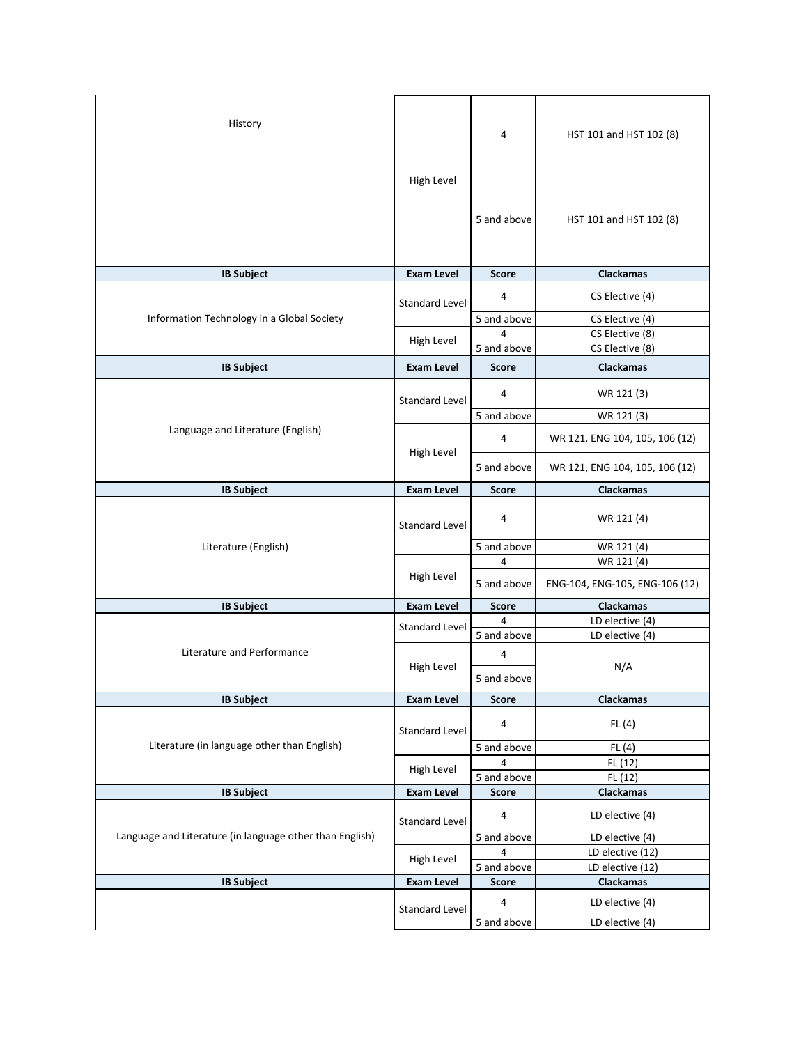| History                                                  |                       | 4                        | HST 101 and HST 102 (8)            |
|----------------------------------------------------------|-----------------------|--------------------------|------------------------------------|
|                                                          | High Level            | 5 and above              | HST 101 and HST 102 (8)            |
| <b>IB Subject</b>                                        | <b>Exam Level</b>     | <b>Score</b>             | <b>Clackamas</b>                   |
|                                                          | <b>Standard Level</b> | 4                        | CS Elective (4)                    |
| Information Technology in a Global Society               |                       | 5 and above              | CS Elective (4)                    |
|                                                          | High Level            | 4<br>5 and above         | CS Elective (8)                    |
|                                                          |                       |                          | CS Elective (8)                    |
| <b>IB Subject</b>                                        | <b>Exam Level</b>     | <b>Score</b>             | Clackamas                          |
|                                                          | <b>Standard Level</b> | 4                        | WR 121 (3)                         |
|                                                          |                       | 5 and above              | WR 121 (3)                         |
| Language and Literature (English)                        | High Level            | 4                        | WR 121, ENG 104, 105, 106 (12)     |
|                                                          |                       | 5 and above              | WR 121, ENG 104, 105, 106 (12)     |
| <b>IB Subject</b>                                        | <b>Exam Level</b>     | <b>Score</b>             | Clackamas                          |
|                                                          | <b>Standard Level</b> | 4                        | WR 121 (4)                         |
| Literature (English)                                     |                       | 5 and above              | WR 121 (4)                         |
|                                                          |                       | 4                        | WR 121 (4)                         |
|                                                          | High Level            | 5 and above              | ENG-104, ENG-105, ENG-106 (12)     |
| <b>IB Subject</b>                                        | <b>Exam Level</b>     | <b>Score</b>             | <b>Clackamas</b>                   |
|                                                          | <b>Standard Level</b> | 4                        | LD elective (4)                    |
|                                                          |                       | 5 and above              | LD elective (4)                    |
| Literature and Performance                               | High Level            | 4<br>5 and above         | N/A                                |
| <b>IB Subject</b>                                        | <b>Exam Level</b>     | <b>Score</b>             | Clackamas                          |
|                                                          | <b>Standard Level</b> | 4                        | FL(4)                              |
| Literature (in language other than English)              |                       | 5 and above              | FL(4)                              |
|                                                          | High Level            | 4                        | FL (12)                            |
|                                                          |                       | 5 and above              | FL (12)                            |
| <b>IB Subject</b>                                        | <b>Exam Level</b>     | <b>Score</b>             | <b>Clackamas</b>                   |
|                                                          | <b>Standard Level</b> | 4                        | LD elective (4)                    |
| Language and Literature (in language other than English) |                       | 5 and above              | LD elective (4)                    |
|                                                          | High Level            | 4                        | LD elective (12)                   |
|                                                          |                       | $\overline{5}$ and above | LD elective (12)                   |
| <b>IB Subject</b>                                        | <b>Exam Level</b>     | <b>Score</b>             | <b>Clackamas</b>                   |
|                                                          | <b>Standard Level</b> | 4<br>5 and above         | LD elective (4)<br>LD elective (4) |
|                                                          |                       |                          |                                    |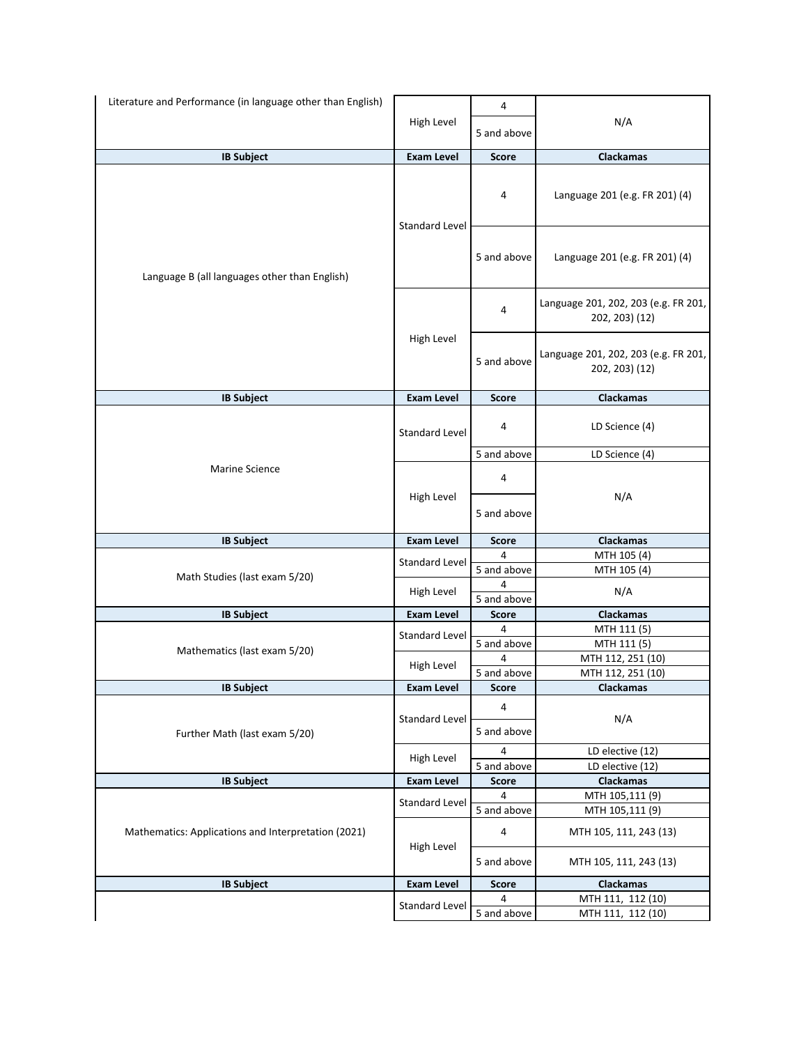| Literature and Performance (in language other than English) | 4                     |                  |                                                        |
|-------------------------------------------------------------|-----------------------|------------------|--------------------------------------------------------|
|                                                             | High Level            | 5 and above      | N/A                                                    |
| <b>IB Subject</b>                                           | <b>Exam Level</b>     | <b>Score</b>     | Clackamas                                              |
|                                                             | <b>Standard Level</b> | 4                | Language 201 (e.g. FR 201) (4)                         |
| Language B (all languages other than English)               |                       | 5 and above      | Language 201 (e.g. FR 201) (4)                         |
|                                                             | High Level            | 4                | Language 201, 202, 203 (e.g. FR 201,<br>202, 203) (12) |
|                                                             |                       | 5 and above      | Language 201, 202, 203 (e.g. FR 201,<br>202, 203) (12) |
| <b>IB Subject</b>                                           | <b>Exam Level</b>     | <b>Score</b>     | Clackamas                                              |
|                                                             | <b>Standard Level</b> | 4                | LD Science (4)                                         |
|                                                             |                       | 5 and above      | LD Science (4)                                         |
| Marine Science                                              | High Level            | 4                |                                                        |
|                                                             |                       | 5 and above      | N/A                                                    |
| <b>IB Subject</b>                                           | <b>Exam Level</b>     | <b>Score</b>     | Clackamas                                              |
|                                                             |                       | 4                | MTH 105 (4)                                            |
| Math Studies (last exam 5/20)                               | <b>Standard Level</b> | 5 and above      | MTH 105 (4)                                            |
|                                                             | High Level            | 4<br>5 and above | N/A                                                    |
| <b>IB Subject</b>                                           | <b>Exam Level</b>     | <b>Score</b>     | <b>Clackamas</b>                                       |
|                                                             | <b>Standard Level</b> | 4                | MTH 111 (5)                                            |
| Mathematics (last exam 5/20)                                |                       | 5 and above      | MTH 111 (5)                                            |
|                                                             | High Level            | 4                | MTH 112, 251 (10)                                      |
|                                                             |                       | 5 and above      | MTH 112, 251 (10)                                      |
| <b>IB Subject</b>                                           | Exam Level            | Score            | <b>Clackamas</b>                                       |
|                                                             | <b>Standard Level</b> | 4                | N/A                                                    |
| Further Math (last exam 5/20)                               |                       | 5 and above      |                                                        |
|                                                             | High Level            | 4                | LD elective (12)                                       |
|                                                             |                       | 5 and above      | LD elective (12)                                       |
| <b>IB Subject</b>                                           | <b>Exam Level</b>     | Score            | Clackamas                                              |
| Mathematics: Applications and Interpretation (2021)         | <b>Standard Level</b> | 4                | MTH 105,111 (9)                                        |
|                                                             |                       | 5 and above      | MTH 105,111 (9)                                        |
|                                                             | High Level            | 4                | MTH 105, 111, 243 (13)                                 |
|                                                             |                       | 5 and above      | MTH 105, 111, 243 (13)                                 |
| <b>IB Subject</b>                                           | <b>Exam Level</b>     | <b>Score</b>     | Clackamas                                              |
|                                                             |                       | 4                | MTH 111, 112 (10)                                      |
|                                                             | <b>Standard Level</b> | 5 and above      | MTH 111, 112 (10)                                      |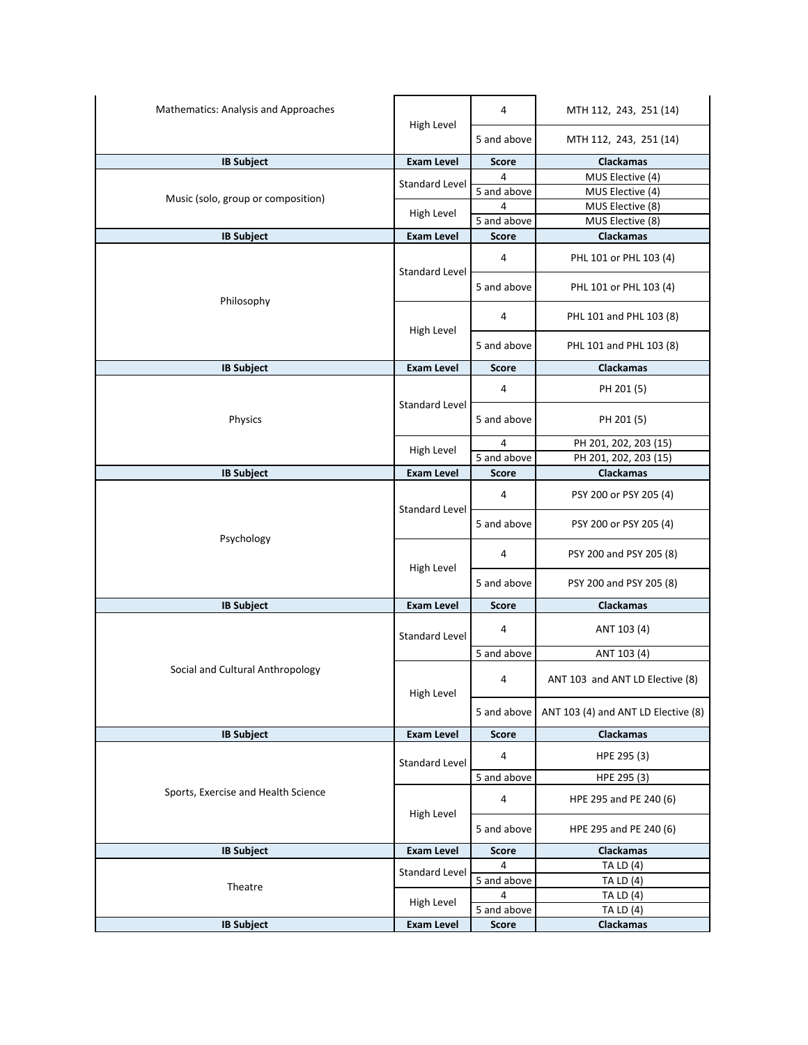| Mathematics: Analysis and Approaches |                       | 4            | MTH 112, 243, 251 (14)              |
|--------------------------------------|-----------------------|--------------|-------------------------------------|
|                                      | High Level            | 5 and above  | MTH 112, 243, 251 (14)              |
| <b>IB Subject</b>                    | <b>Exam Level</b>     | <b>Score</b> | <b>Clackamas</b>                    |
|                                      |                       | 4            | MUS Elective (4)                    |
|                                      | <b>Standard Level</b> | 5 and above  | MUS Elective (4)                    |
| Music (solo, group or composition)   |                       | 4            | MUS Elective (8)                    |
|                                      | High Level            | 5 and above  | MUS Elective (8)                    |
| <b>IB Subject</b>                    | <b>Exam Level</b>     | <b>Score</b> | Clackamas                           |
|                                      | <b>Standard Level</b> | 4            | PHL 101 or PHL 103 (4)              |
|                                      |                       | 5 and above  | PHL 101 or PHL 103 (4)              |
| Philosophy                           | High Level            | 4            | PHL 101 and PHL 103 (8)             |
|                                      |                       | 5 and above  | PHL 101 and PHL 103 (8)             |
| <b>IB Subject</b>                    | <b>Exam Level</b>     | <b>Score</b> | <b>Clackamas</b>                    |
|                                      | <b>Standard Level</b> | 4            | PH 201 (5)                          |
| Physics                              |                       | 5 and above  | PH 201 (5)                          |
|                                      |                       | 4            | PH 201, 202, 203 (15)               |
|                                      | High Level            | 5 and above  | PH 201, 202, 203 (15)               |
| <b>IB Subject</b>                    | <b>Exam Level</b>     | <b>Score</b> | Clackamas                           |
|                                      | <b>Standard Level</b> | 4            | PSY 200 or PSY 205 (4)              |
| Psychology                           |                       | 5 and above  | PSY 200 or PSY 205 (4)              |
|                                      | High Level            | 4            | PSY 200 and PSY 205 (8)             |
|                                      |                       | 5 and above  | PSY 200 and PSY 205 (8)             |
| <b>IB Subject</b>                    | <b>Exam Level</b>     | <b>Score</b> | <b>Clackamas</b>                    |
|                                      | <b>Standard Level</b> | 4            | ANT 103 (4)                         |
|                                      |                       | 5 and above  | ANT 103 (4)                         |
| Social and Cultural Anthropology     | High Level            | 4            | ANT 103 and ANT LD Elective (8)     |
|                                      |                       | 5 and above  | ANT 103 (4) and ANT LD Elective (8) |
| <b>IB Subject</b>                    | <b>Exam Level</b>     | <b>Score</b> | Clackamas                           |
|                                      | <b>Standard Level</b> | 4            | HPE 295 (3)                         |
|                                      |                       | 5 and above  | HPE 295 (3)                         |
| Sports, Exercise and Health Science  | High Level            | 4            | HPE 295 and PE 240 (6)              |
|                                      |                       | 5 and above  | HPE 295 and PE 240 (6)              |
| <b>IB Subject</b>                    | <b>Exam Level</b>     | <b>Score</b> | <b>Clackamas</b>                    |
|                                      | <b>Standard Level</b> | 4            | <b>TA LD (4)</b>                    |
| Theatre                              |                       | 5 and above  | <b>TA LD (4)</b>                    |
|                                      | High Level            | 4            | <b>TA LD (4)</b>                    |
| <b>IB Subject</b>                    |                       | 5 and above  | <b>TA LD (4)</b>                    |
|                                      | <b>Exam Level</b>     | <b>Score</b> | Clackamas                           |